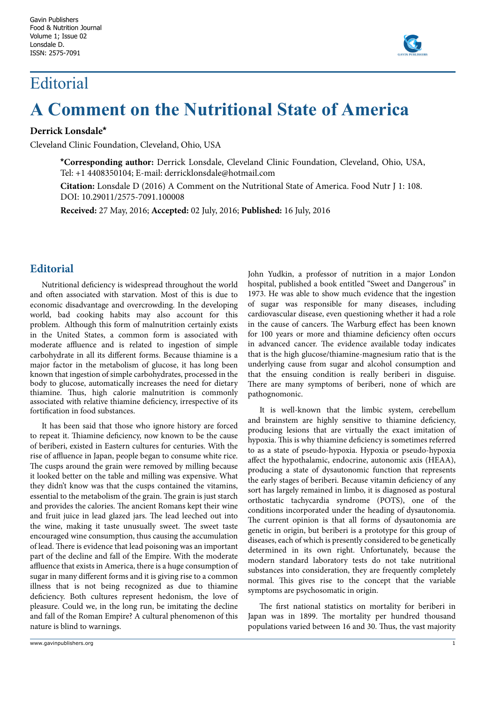## Editorial



## **A Comment on the Nutritional State of America**

## **Derrick Lonsdale\***

Cleveland Clinic Foundation, Cleveland, Ohio, USA

**\*Corresponding author:** Derrick Lonsdale, Cleveland Clinic Foundation, Cleveland, Ohio, USA, Tel: +1 4408350104; E-mail: derricklonsdale@hotmail.com

**Citation:** Lonsdale D (2016) A Comment on the Nutritional State of America. Food Nutr J 1: 108. DOI: 10.29011/2575-7091.100008

**Received:** 27 May, 2016; **Accepted:** 02 July, 2016; **Published:** 16 July, 2016

## **Editorial**

Nutritional deficiency is widespread throughout the world and often associated with starvation. Most of this is due to economic disadvantage and overcrowding. In the developing world, bad cooking habits may also account for this problem. Although this form of malnutrition certainly exists in the United States, a common form is associated with moderate affluence and is related to ingestion of simple carbohydrate in all its different forms. Because thiamine is a major factor in the metabolism of glucose, it has long been known that ingestion of simple carbohydrates, processed in the body to glucose, automatically increases the need for dietary thiamine. Thus, high calorie malnutrition is commonly associated with relative thiamine deficiency, irrespective of its fortification in food substances.

It has been said that those who ignore history are forced to repeat it. Thiamine deficiency, now known to be the cause of beriberi, existed in Eastern cultures for centuries. With the rise of affluence in Japan, people began to consume white rice. The cusps around the grain were removed by milling because it looked better on the table and milling was expensive. What they didn't know was that the cusps contained the vitamins, essential to the metabolism of the grain. The grain is just starch and provides the calories. The ancient Romans kept their wine and fruit juice in lead glazed jars. The lead leeched out into the wine, making it taste unusually sweet. The sweet taste encouraged wine consumption, thus causing the accumulation of lead. There is evidence that lead poisoning was an important part of the decline and fall of the Empire. With the moderate affluence that exists in America, there is a huge consumption of sugar in many different forms and it is giving rise to a common illness that is not being recognized as due to thiamine deficiency. Both cultures represent hedonism, the love of pleasure. Could we, in the long run, be imitating the decline and fall of the Roman Empire? A cultural phenomenon of this nature is blind to warnings.

John Yudkin, a professor of nutrition in a major London hospital, published a book entitled "Sweet and Dangerous" in 1973. He was able to show much evidence that the ingestion of sugar was responsible for many diseases, including cardiovascular disease, even questioning whether it had a role in the cause of cancers. The Warburg effect has been known for 100 years or more and thiamine deficiency often occurs in advanced cancer. The evidence available today indicates that is the high glucose/thiamine-magnesium ratio that is the underlying cause from sugar and alcohol consumption and that the ensuing condition is really beriberi in disguise. There are many symptoms of beriberi, none of which are pathognomonic.

It is well-known that the limbic system, cerebellum and brainstem are highly sensitive to thiamine deficiency, producing lesions that are virtually the exact imitation of hypoxia. This is why thiamine deficiency is sometimes referred to as a state of pseudo-hypoxia. Hypoxia or pseudo-hypoxia affect the hypothalamic, endocrine, autonomic axis (HEAA), producing a state of dysautonomic function that represents the early stages of beriberi. Because vitamin deficiency of any sort has largely remained in limbo, it is diagnosed as postural orthostatic tachycardia syndrome (POTS), one of the conditions incorporated under the heading of dysautonomia. The current opinion is that all forms of dysautonomia are genetic in origin, but beriberi is a prototype for this group of diseases, each of which is presently considered to be genetically determined in its own right. Unfortunately, because the modern standard laboratory tests do not take nutritional substances into consideration, they are frequently completely normal. This gives rise to the concept that the variable symptoms are psychosomatic in origin.

The first national statistics on mortality for beriberi in Japan was in 1899. The mortality per hundred thousand populations varied between 16 and 30. Thus, the vast majority